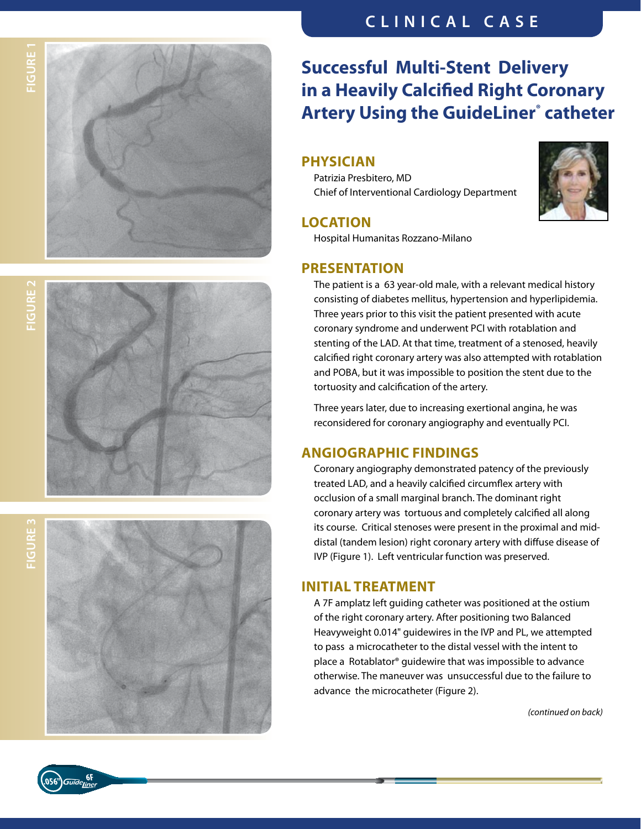





### **Successful Multi-Stent Delivery in a Heavily Calcified Right Coronary Artery Using the GuideLiner ® catheter**

#### **physician**

Patrizia Presbitero, MD Chief of Interventional Cardiology Department



#### **Location**

Hospital Humanitas Rozzano-Milano

#### **Presentation**

The patient is a 63 year-old male, with a relevant medical history consisting of diabetes mellitus, hypertension and hyperlipidemia. Three years prior to this visit the patient presented with acute coronary syndrome and underwent PCI with rotablation and stenting of the LAD. At that time, treatment of a stenosed, heavily calcified right coronary artery was also attempted with rotablation and POBA, but it was impossible to position the stent due to the tortuosity and calcification of the artery.

Three years later, due to increasing exertional angina, he was reconsidered for coronary angiography and eventually PCI.

#### **ANGIOGRAPHIC FINDINGS**

Coronary angiography demonstrated patency of the previously treated LAD, and a heavily calcified circumflex artery with occlusion of a small marginal branch. The dominant right coronary artery was tortuous and completely calcified all along its course. Critical stenoses were present in the proximal and middistal (tandem lesion) right coronary artery with diffuse disease of IVP (Figure 1). Left ventricular function was preserved.

#### **INITIAL TREATMEI**

A 7F amplatz left guiding catheter was positioned at the ostium of the right coronary artery. After positioning two Balanced Heavyweight 0.014" guidewires in the IVP and PL, we attempted to pass a microcatheter to the distal vessel with the intent to place a Rotablator® guidewire that was impossible to advance otherwise. The maneuver was unsuccessful due to the failure to advance the microcatheter (Figure 2).

*(continued on back)*